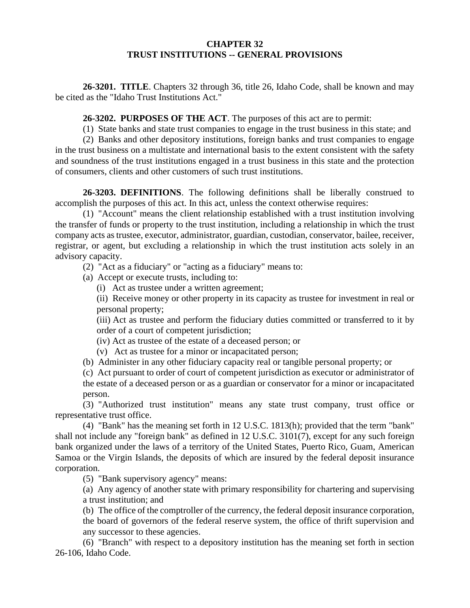### **CHAPTER 32 TRUST INSTITUTIONS -- GENERAL PROVISIONS**

**26-3201. TITLE**. Chapters 32 through 36, title 26, Idaho Code, shall be known and may be cited as the "Idaho Trust Institutions Act."

**26-3202. PURPOSES OF THE ACT**. The purposes of this act are to permit:

(1) State banks and state trust companies to engage in the trust business in this state; and

(2) Banks and other depository institutions, foreign banks and trust companies to engage in the trust business on a multistate and international basis to the extent consistent with the safety and soundness of the trust institutions engaged in a trust business in this state and the protection of consumers, clients and other customers of such trust institutions.

**26-3203. DEFINITIONS**. The following definitions shall be liberally construed to accomplish the purposes of this act. In this act, unless the context otherwise requires:

(1) "Account" means the client relationship established with a trust institution involving the transfer of funds or property to the trust institution, including a relationship in which the trust company acts as trustee, executor, administrator, guardian, custodian, conservator, bailee, receiver, registrar, or agent, but excluding a relationship in which the trust institution acts solely in an advisory capacity.

(2) "Act as a fiduciary" or "acting as a fiduciary" means to:

(a) Accept or execute trusts, including to:

(i) Act as trustee under a written agreement;

(ii) Receive money or other property in its capacity as trustee for investment in real or personal property;

(iii) Act as trustee and perform the fiduciary duties committed or transferred to it by order of a court of competent jurisdiction;

(iv) Act as trustee of the estate of a deceased person; or

(v) Act as trustee for a minor or incapacitated person;

(b) Administer in any other fiduciary capacity real or tangible personal property; or

(c) Act pursuant to order of court of competent jurisdiction as executor or administrator of the estate of a deceased person or as a guardian or conservator for a minor or incapacitated person.

(3) "Authorized trust institution" means any state trust company, trust office or representative trust office.

(4) "Bank" has the meaning set forth in 12 U.S.C. 1813(h); provided that the term "bank" shall not include any "foreign bank" as defined in 12 U.S.C. 3101(7), except for any such foreign bank organized under the laws of a territory of the United States, Puerto Rico, Guam, American Samoa or the Virgin Islands, the deposits of which are insured by the federal deposit insurance corporation.

(5) "Bank supervisory agency" means:

(a) Any agency of another state with primary responsibility for chartering and supervising a trust institution; and

(b) The office of the comptroller of the currency, the federal deposit insurance corporation, the board of governors of the federal reserve system, the office of thrift supervision and any successor to these agencies.

(6) "Branch" with respect to a depository institution has the meaning set forth in section 26-106, Idaho Code.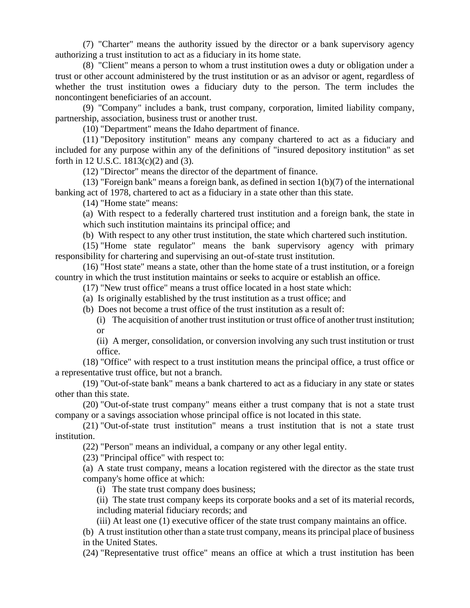(7) "Charter" means the authority issued by the director or a bank supervisory agency authorizing a trust institution to act as a fiduciary in its home state.

(8) "Client" means a person to whom a trust institution owes a duty or obligation under a trust or other account administered by the trust institution or as an advisor or agent, regardless of whether the trust institution owes a fiduciary duty to the person. The term includes the noncontingent beneficiaries of an account.

(9) "Company" includes a bank, trust company, corporation, limited liability company, partnership, association, business trust or another trust.

(10) "Department" means the Idaho department of finance.

(11) "Depository institution" means any company chartered to act as a fiduciary and included for any purpose within any of the definitions of "insured depository institution" as set forth in 12 U.S.C. 1813(c)(2) and (3).

(12) "Director" means the director of the department of finance.

(13) "Foreign bank" means a foreign bank, as defined in section 1(b)(7) of the international banking act of 1978, chartered to act as a fiduciary in a state other than this state.

(14) "Home state" means:

(a) With respect to a federally chartered trust institution and a foreign bank, the state in which such institution maintains its principal office; and

(b) With respect to any other trust institution, the state which chartered such institution.

(15) "Home state regulator" means the bank supervisory agency with primary responsibility for chartering and supervising an out-of-state trust institution.

(16) "Host state" means a state, other than the home state of a trust institution, or a foreign country in which the trust institution maintains or seeks to acquire or establish an office.

(17) "New trust office" means a trust office located in a host state which:

(a) Is originally established by the trust institution as a trust office; and

(b) Does not become a trust office of the trust institution as a result of:

(i) The acquisition of another trust institution or trust office of another trust institution; or

(ii) A merger, consolidation, or conversion involving any such trust institution or trust office.

(18) "Office" with respect to a trust institution means the principal office, a trust office or a representative trust office, but not a branch.

(19) "Out-of-state bank" means a bank chartered to act as a fiduciary in any state or states other than this state.

(20) "Out-of-state trust company" means either a trust company that is not a state trust company or a savings association whose principal office is not located in this state.

(21) "Out-of-state trust institution" means a trust institution that is not a state trust institution.

(22) "Person" means an individual, a company or any other legal entity.

(23) "Principal office" with respect to:

(a) A state trust company, means a location registered with the director as the state trust company's home office at which:

(i) The state trust company does business;

(ii) The state trust company keeps its corporate books and a set of its material records, including material fiduciary records; and

(iii) At least one (1) executive officer of the state trust company maintains an office.

(b) A trust institution other than a state trust company, means its principal place of business in the United States.

(24) "Representative trust office" means an office at which a trust institution has been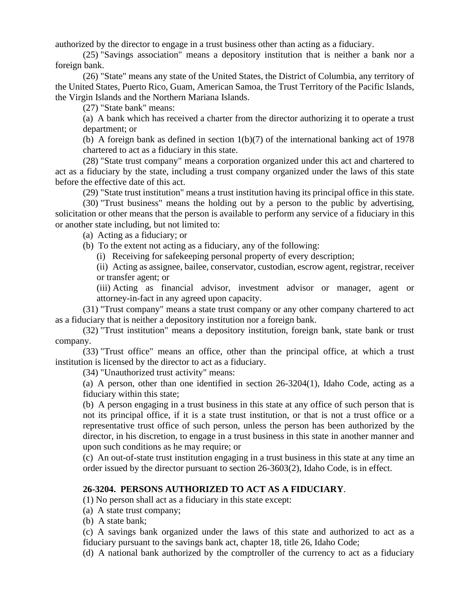authorized by the director to engage in a trust business other than acting as a fiduciary.

(25) "Savings association" means a depository institution that is neither a bank nor a foreign bank.

(26) "State" means any state of the United States, the District of Columbia, any territory of the United States, Puerto Rico, Guam, American Samoa, the Trust Territory of the Pacific Islands, the Virgin Islands and the Northern Mariana Islands.

(27) "State bank" means:

(a) A bank which has received a charter from the director authorizing it to operate a trust department; or

(b) A foreign bank as defined in section 1(b)(7) of the international banking act of 1978 chartered to act as a fiduciary in this state.

(28) "State trust company" means a corporation organized under this act and chartered to act as a fiduciary by the state, including a trust company organized under the laws of this state before the effective date of this act.

(29) "State trust institution" means a trust institution having its principal office in this state.

(30) "Trust business" means the holding out by a person to the public by advertising, solicitation or other means that the person is available to perform any service of a fiduciary in this or another state including, but not limited to:

(a) Acting as a fiduciary; or

(b) To the extent not acting as a fiduciary, any of the following:

(i) Receiving for safekeeping personal property of every description;

(ii) Acting as assignee, bailee, conservator, custodian, escrow agent, registrar, receiver or transfer agent; or

(iii) Acting as financial advisor, investment advisor or manager, agent or attorney-in-fact in any agreed upon capacity.

(31) "Trust company" means a state trust company or any other company chartered to act as a fiduciary that is neither a depository institution nor a foreign bank.

(32) "Trust institution" means a depository institution, foreign bank, state bank or trust company.

(33) "Trust office" means an office, other than the principal office, at which a trust institution is licensed by the director to act as a fiduciary.

(34) "Unauthorized trust activity" means:

(a) A person, other than one identified in section 26-3204(1), Idaho Code, acting as a fiduciary within this state;

(b) A person engaging in a trust business in this state at any office of such person that is not its principal office, if it is a state trust institution, or that is not a trust office or a representative trust office of such person, unless the person has been authorized by the director, in his discretion, to engage in a trust business in this state in another manner and upon such conditions as he may require; or

(c) An out-of-state trust institution engaging in a trust business in this state at any time an order issued by the director pursuant to section 26-3603(2), Idaho Code, is in effect.

### **26-3204. PERSONS AUTHORIZED TO ACT AS A FIDUCIARY**.

(1) No person shall act as a fiduciary in this state except:

(a) A state trust company;

(b) A state bank;

(c) A savings bank organized under the laws of this state and authorized to act as a fiduciary pursuant to the savings bank act, chapter 18, title 26, Idaho Code;

(d) A national bank authorized by the comptroller of the currency to act as a fiduciary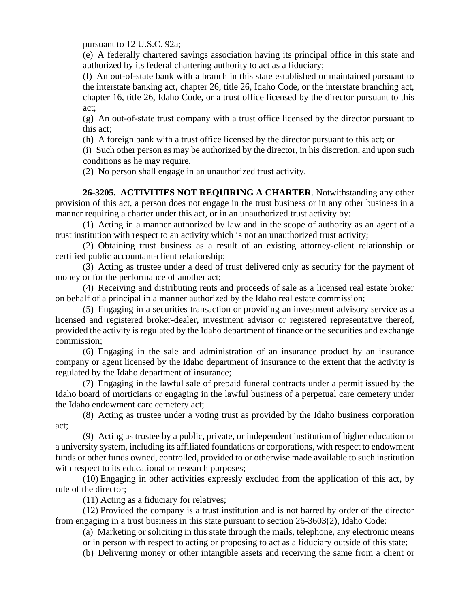pursuant to 12 U.S.C. 92a;

(e) A federally chartered savings association having its principal office in this state and authorized by its federal chartering authority to act as a fiduciary;

(f) An out-of-state bank with a branch in this state established or maintained pursuant to the interstate banking act, chapter 26, title 26, Idaho Code, or the interstate branching act, chapter 16, title 26, Idaho Code, or a trust office licensed by the director pursuant to this act;

(g) An out-of-state trust company with a trust office licensed by the director pursuant to this act;

(h) A foreign bank with a trust office licensed by the director pursuant to this act; or

(i) Such other person as may be authorized by the director, in his discretion, and upon such conditions as he may require.

(2) No person shall engage in an unauthorized trust activity.

**26-3205. ACTIVITIES NOT REQUIRING A CHARTER**. Notwithstanding any other provision of this act, a person does not engage in the trust business or in any other business in a manner requiring a charter under this act, or in an unauthorized trust activity by:

(1) Acting in a manner authorized by law and in the scope of authority as an agent of a trust institution with respect to an activity which is not an unauthorized trust activity;

(2) Obtaining trust business as a result of an existing attorney-client relationship or certified public accountant-client relationship;

(3) Acting as trustee under a deed of trust delivered only as security for the payment of money or for the performance of another act;

(4) Receiving and distributing rents and proceeds of sale as a licensed real estate broker on behalf of a principal in a manner authorized by the Idaho real estate commission;

(5) Engaging in a securities transaction or providing an investment advisory service as a licensed and registered broker-dealer, investment advisor or registered representative thereof, provided the activity is regulated by the Idaho department of finance or the securities and exchange commission;

(6) Engaging in the sale and administration of an insurance product by an insurance company or agent licensed by the Idaho department of insurance to the extent that the activity is regulated by the Idaho department of insurance;

(7) Engaging in the lawful sale of prepaid funeral contracts under a permit issued by the Idaho board of morticians or engaging in the lawful business of a perpetual care cemetery under the Idaho endowment care cemetery act;

(8) Acting as trustee under a voting trust as provided by the Idaho business corporation act;

(9) Acting as trustee by a public, private, or independent institution of higher education or a university system, including its affiliated foundations or corporations, with respect to endowment funds or other funds owned, controlled, provided to or otherwise made available to such institution with respect to its educational or research purposes;

(10) Engaging in other activities expressly excluded from the application of this act, by rule of the director;

(11) Acting as a fiduciary for relatives;

(12) Provided the company is a trust institution and is not barred by order of the director from engaging in a trust business in this state pursuant to section 26-3603(2), Idaho Code:

(a) Marketing or soliciting in this state through the mails, telephone, any electronic means

or in person with respect to acting or proposing to act as a fiduciary outside of this state;

(b) Delivering money or other intangible assets and receiving the same from a client or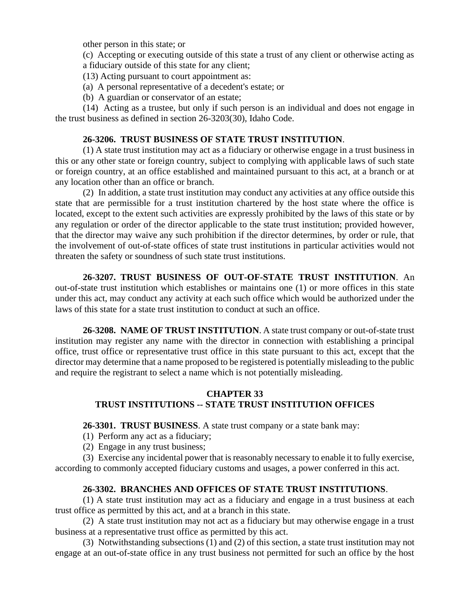other person in this state; or

(c) Accepting or executing outside of this state a trust of any client or otherwise acting as a fiduciary outside of this state for any client;

(13) Acting pursuant to court appointment as:

- (a) A personal representative of a decedent's estate; or
- (b) A guardian or conservator of an estate;

(14) Acting as a trustee, but only if such person is an individual and does not engage in the trust business as defined in section 26-3203(30), Idaho Code.

# **26-3206. TRUST BUSINESS OF STATE TRUST INSTITUTION**.

(1) A state trust institution may act as a fiduciary or otherwise engage in a trust business in this or any other state or foreign country, subject to complying with applicable laws of such state or foreign country, at an office established and maintained pursuant to this act, at a branch or at any location other than an office or branch.

(2) In addition, a state trust institution may conduct any activities at any office outside this state that are permissible for a trust institution chartered by the host state where the office is located, except to the extent such activities are expressly prohibited by the laws of this state or by any regulation or order of the director applicable to the state trust institution; provided however, that the director may waive any such prohibition if the director determines, by order or rule, that the involvement of out-of-state offices of state trust institutions in particular activities would not threaten the safety or soundness of such state trust institutions.

**26-3207. TRUST BUSINESS OF OUT-OF-STATE TRUST INSTITUTION**. An out-of-state trust institution which establishes or maintains one (1) or more offices in this state under this act, may conduct any activity at each such office which would be authorized under the laws of this state for a state trust institution to conduct at such an office.

**26-3208. NAME OF TRUST INSTITUTION**. A state trust company or out-of-state trust institution may register any name with the director in connection with establishing a principal office, trust office or representative trust office in this state pursuant to this act, except that the director may determine that a name proposed to be registered is potentially misleading to the public and require the registrant to select a name which is not potentially misleading.

# **CHAPTER 33 TRUST INSTITUTIONS -- STATE TRUST INSTITUTION OFFICES**

**26-3301. TRUST BUSINESS**. A state trust company or a state bank may:

- (1) Perform any act as a fiduciary;
- (2) Engage in any trust business;

(3) Exercise any incidental power that is reasonably necessary to enable it to fully exercise, according to commonly accepted fiduciary customs and usages, a power conferred in this act.

# **26-3302. BRANCHES AND OFFICES OF STATE TRUST INSTITUTIONS**.

(1) A state trust institution may act as a fiduciary and engage in a trust business at each trust office as permitted by this act, and at a branch in this state.

(2) A state trust institution may not act as a fiduciary but may otherwise engage in a trust business at a representative trust office as permitted by this act.

(3) Notwithstanding subsections (1) and (2) of this section, a state trust institution may not engage at an out-of-state office in any trust business not permitted for such an office by the host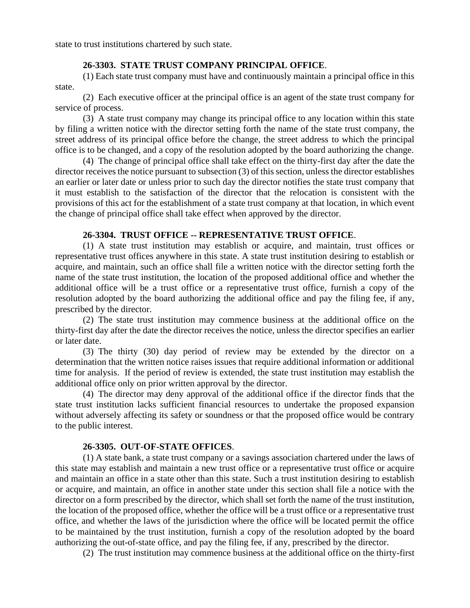state to trust institutions chartered by such state.

### **26-3303. STATE TRUST COMPANY PRINCIPAL OFFICE**.

(1) Each state trust company must have and continuously maintain a principal office in this state.

(2) Each executive officer at the principal office is an agent of the state trust company for service of process.

(3) A state trust company may change its principal office to any location within this state by filing a written notice with the director setting forth the name of the state trust company, the street address of its principal office before the change, the street address to which the principal office is to be changed, and a copy of the resolution adopted by the board authorizing the change.

(4) The change of principal office shall take effect on the thirty-first day after the date the director receives the notice pursuant to subsection (3) of this section, unless the director establishes an earlier or later date or unless prior to such day the director notifies the state trust company that it must establish to the satisfaction of the director that the relocation is consistent with the provisions of this act for the establishment of a state trust company at that location, in which event the change of principal office shall take effect when approved by the director.

### **26-3304. TRUST OFFICE -- REPRESENTATIVE TRUST OFFICE**.

(1) A state trust institution may establish or acquire, and maintain, trust offices or representative trust offices anywhere in this state. A state trust institution desiring to establish or acquire, and maintain, such an office shall file a written notice with the director setting forth the name of the state trust institution, the location of the proposed additional office and whether the additional office will be a trust office or a representative trust office, furnish a copy of the resolution adopted by the board authorizing the additional office and pay the filing fee, if any, prescribed by the director.

(2) The state trust institution may commence business at the additional office on the thirty-first day after the date the director receives the notice, unless the director specifies an earlier or later date.

(3) The thirty (30) day period of review may be extended by the director on a determination that the written notice raises issues that require additional information or additional time for analysis. If the period of review is extended, the state trust institution may establish the additional office only on prior written approval by the director.

(4) The director may deny approval of the additional office if the director finds that the state trust institution lacks sufficient financial resources to undertake the proposed expansion without adversely affecting its safety or soundness or that the proposed office would be contrary to the public interest.

#### **26-3305. OUT-OF-STATE OFFICES**.

(1) A state bank, a state trust company or a savings association chartered under the laws of this state may establish and maintain a new trust office or a representative trust office or acquire and maintain an office in a state other than this state. Such a trust institution desiring to establish or acquire, and maintain, an office in another state under this section shall file a notice with the director on a form prescribed by the director, which shall set forth the name of the trust institution, the location of the proposed office, whether the office will be a trust office or a representative trust office, and whether the laws of the jurisdiction where the office will be located permit the office to be maintained by the trust institution, furnish a copy of the resolution adopted by the board authorizing the out-of-state office, and pay the filing fee, if any, prescribed by the director.

(2) The trust institution may commence business at the additional office on the thirty-first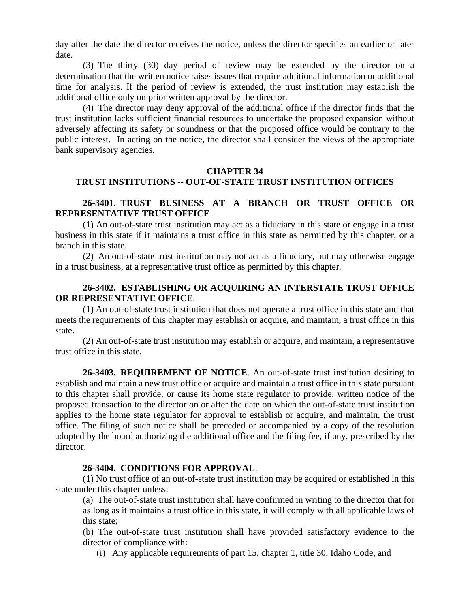day after the date the director receives the notice, unless the director specifies an earlier or later date.

(3) The thirty (30) day period of review may be extended by the director on a determination that the written notice raises issues that require additional information or additional time for analysis. If the period of review is extended, the trust institution may establish the additional office only on prior written approval by the director.

(4) The director may deny approval of the additional office if the director finds that the trust institution lacks sufficient financial resources to undertake the proposed expansion without adversely affecting its safety or soundness or that the proposed office would be contrary to the public interest. In acting on the notice, the director shall consider the views of the appropriate bank supervisory agencies.

#### **CHAPTER 34**

# **TRUST INSTITUTIONS -- OUT-OF-STATE TRUST INSTITUTION OFFICES**

# **26-3401. TRUST BUSINESS AT A BRANCH OR TRUST OFFICE OR REPRESENTATIVE TRUST OFFICE**.

(1) An out-of-state trust institution may act as a fiduciary in this state or engage in a trust business in this state if it maintains a trust office in this state as permitted by this chapter, or a branch in this state.

(2) An out-of-state trust institution may not act as a fiduciary, but may otherwise engage in a trust business, at a representative trust office as permitted by this chapter.

# **26-3402. ESTABLISHING OR ACQUIRING AN INTERSTATE TRUST OFFICE OR REPRESENTATIVE OFFICE**.

(1) An out-of-state trust institution that does not operate a trust office in this state and that meets the requirements of this chapter may establish or acquire, and maintain, a trust office in this state.

(2) An out-of-state trust institution may establish or acquire, and maintain, a representative trust office in this state.

**26-3403. REQUIREMENT OF NOTICE**. An out-of-state trust institution desiring to establish and maintain a new trust office or acquire and maintain a trust office in this state pursuant to this chapter shall provide, or cause its home state regulator to provide, written notice of the proposed transaction to the director on or after the date on which the out-of-state trust institution applies to the home state regulator for approval to establish or acquire, and maintain, the trust office. The filing of such notice shall be preceded or accompanied by a copy of the resolution adopted by the board authorizing the additional office and the filing fee, if any, prescribed by the director.

#### **26-3404. CONDITIONS FOR APPROVAL**.

(1) No trust office of an out-of-state trust institution may be acquired or established in this state under this chapter unless:

(a) The out-of-state trust institution shall have confirmed in writing to the director that for as long as it maintains a trust office in this state, it will comply with all applicable laws of this state;

(b) The out-of-state trust institution shall have provided satisfactory evidence to the director of compliance with:

(i) Any applicable requirements of part 15, chapter 1, title 30, Idaho Code, and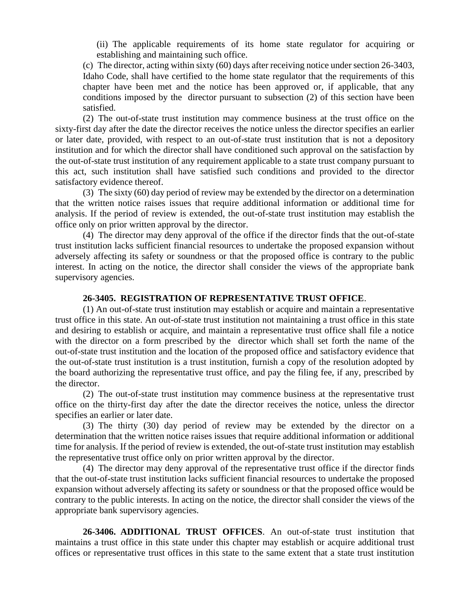(ii) The applicable requirements of its home state regulator for acquiring or establishing and maintaining such office.

(c) The director, acting within sixty (60) days after receiving notice under section 26-3403, Idaho Code, shall have certified to the home state regulator that the requirements of this chapter have been met and the notice has been approved or, if applicable, that any conditions imposed by the director pursuant to subsection (2) of this section have been satisfied.

(2) The out-of-state trust institution may commence business at the trust office on the sixty-first day after the date the director receives the notice unless the director specifies an earlier or later date, provided, with respect to an out-of-state trust institution that is not a depository institution and for which the director shall have conditioned such approval on the satisfaction by the out-of-state trust institution of any requirement applicable to a state trust company pursuant to this act, such institution shall have satisfied such conditions and provided to the director satisfactory evidence thereof.

(3) The sixty (60) day period of review may be extended by the director on a determination that the written notice raises issues that require additional information or additional time for analysis. If the period of review is extended, the out-of-state trust institution may establish the office only on prior written approval by the director.

(4) The director may deny approval of the office if the director finds that the out-of-state trust institution lacks sufficient financial resources to undertake the proposed expansion without adversely affecting its safety or soundness or that the proposed office is contrary to the public interest. In acting on the notice, the director shall consider the views of the appropriate bank supervisory agencies.

#### **26-3405. REGISTRATION OF REPRESENTATIVE TRUST OFFICE**.

(1) An out-of-state trust institution may establish or acquire and maintain a representative trust office in this state. An out-of-state trust institution not maintaining a trust office in this state and desiring to establish or acquire, and maintain a representative trust office shall file a notice with the director on a form prescribed by the director which shall set forth the name of the out-of-state trust institution and the location of the proposed office and satisfactory evidence that the out-of-state trust institution is a trust institution, furnish a copy of the resolution adopted by the board authorizing the representative trust office, and pay the filing fee, if any, prescribed by the director.

(2) The out-of-state trust institution may commence business at the representative trust office on the thirty-first day after the date the director receives the notice, unless the director specifies an earlier or later date.

(3) The thirty (30) day period of review may be extended by the director on a determination that the written notice raises issues that require additional information or additional time for analysis. If the period of review is extended, the out-of-state trust institution may establish the representative trust office only on prior written approval by the director.

(4) The director may deny approval of the representative trust office if the director finds that the out-of-state trust institution lacks sufficient financial resources to undertake the proposed expansion without adversely affecting its safety or soundness or that the proposed office would be contrary to the public interests. In acting on the notice, the director shall consider the views of the appropriate bank supervisory agencies.

**26-3406. ADDITIONAL TRUST OFFICES**. An out-of-state trust institution that maintains a trust office in this state under this chapter may establish or acquire additional trust offices or representative trust offices in this state to the same extent that a state trust institution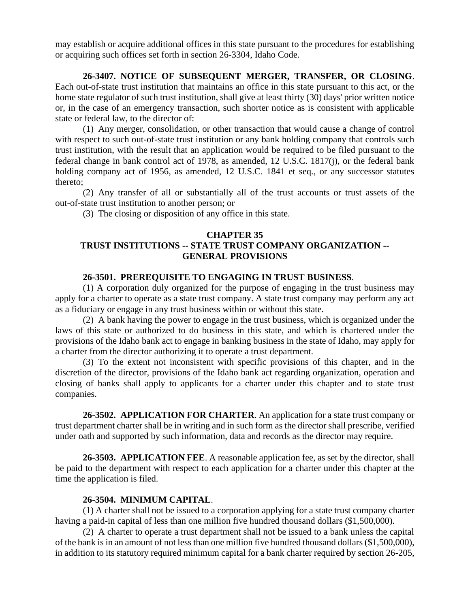may establish or acquire additional offices in this state pursuant to the procedures for establishing or acquiring such offices set forth in section 26-3304, Idaho Code.

# **26-3407. NOTICE OF SUBSEQUENT MERGER, TRANSFER, OR CLOSING**.

Each out-of-state trust institution that maintains an office in this state pursuant to this act, or the home state regulator of such trust institution, shall give at least thirty (30) days' prior written notice or, in the case of an emergency transaction, such shorter notice as is consistent with applicable state or federal law, to the director of:

(1) Any merger, consolidation, or other transaction that would cause a change of control with respect to such out-of-state trust institution or any bank holding company that controls such trust institution, with the result that an application would be required to be filed pursuant to the federal change in bank control act of 1978, as amended, 12 U.S.C. 1817(j), or the federal bank holding company act of 1956, as amended, 12 U.S.C. 1841 et seq., or any successor statutes thereto;

(2) Any transfer of all or substantially all of the trust accounts or trust assets of the out-of-state trust institution to another person; or

(3) The closing or disposition of any office in this state.

### **CHAPTER 35**

# **TRUST INSTITUTIONS -- STATE TRUST COMPANY ORGANIZATION -- GENERAL PROVISIONS**

### **26-3501. PREREQUISITE TO ENGAGING IN TRUST BUSINESS**.

(1) A corporation duly organized for the purpose of engaging in the trust business may apply for a charter to operate as a state trust company. A state trust company may perform any act as a fiduciary or engage in any trust business within or without this state.

(2) A bank having the power to engage in the trust business, which is organized under the laws of this state or authorized to do business in this state, and which is chartered under the provisions of the Idaho bank act to engage in banking business in the state of Idaho, may apply for a charter from the director authorizing it to operate a trust department.

(3) To the extent not inconsistent with specific provisions of this chapter, and in the discretion of the director, provisions of the Idaho bank act regarding organization, operation and closing of banks shall apply to applicants for a charter under this chapter and to state trust companies.

**26-3502. APPLICATION FOR CHARTER**. An application for a state trust company or trust department charter shall be in writing and in such form as the director shall prescribe, verified under oath and supported by such information, data and records as the director may require.

**26-3503. APPLICATION FEE**. A reasonable application fee, as set by the director, shall be paid to the department with respect to each application for a charter under this chapter at the time the application is filed.

# **26-3504. MINIMUM CAPITAL**.

(1) A charter shall not be issued to a corporation applying for a state trust company charter having a paid-in capital of less than one million five hundred thousand dollars (\$1,500,000).

(2) A charter to operate a trust department shall not be issued to a bank unless the capital of the bank is in an amount of not less than one million five hundred thousand dollars (\$1,500,000), in addition to its statutory required minimum capital for a bank charter required by section 26-205,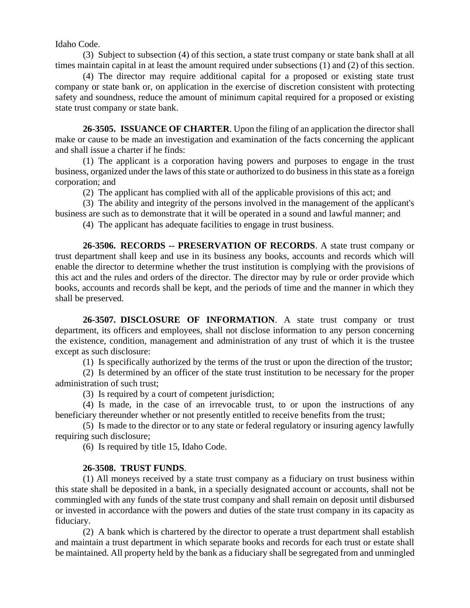Idaho Code.

(3) Subject to subsection (4) of this section, a state trust company or state bank shall at all times maintain capital in at least the amount required under subsections (1) and (2) of this section.

(4) The director may require additional capital for a proposed or existing state trust company or state bank or, on application in the exercise of discretion consistent with protecting safety and soundness, reduce the amount of minimum capital required for a proposed or existing state trust company or state bank.

**26-3505. ISSUANCE OF CHARTER**. Upon the filing of an application the director shall make or cause to be made an investigation and examination of the facts concerning the applicant and shall issue a charter if he finds:

(1) The applicant is a corporation having powers and purposes to engage in the trust business, organized under the laws of this state or authorized to do business in this state as a foreign corporation; and

(2) The applicant has complied with all of the applicable provisions of this act; and

(3) The ability and integrity of the persons involved in the management of the applicant's business are such as to demonstrate that it will be operated in a sound and lawful manner; and

(4) The applicant has adequate facilities to engage in trust business.

**26-3506. RECORDS -- PRESERVATION OF RECORDS**. A state trust company or trust department shall keep and use in its business any books, accounts and records which will enable the director to determine whether the trust institution is complying with the provisions of this act and the rules and orders of the director. The director may by rule or order provide which books, accounts and records shall be kept, and the periods of time and the manner in which they shall be preserved.

**26-3507. DISCLOSURE OF INFORMATION**. A state trust company or trust department, its officers and employees, shall not disclose information to any person concerning the existence, condition, management and administration of any trust of which it is the trustee except as such disclosure:

(1) Is specifically authorized by the terms of the trust or upon the direction of the trustor;

(2) Is determined by an officer of the state trust institution to be necessary for the proper administration of such trust;

(3) Is required by a court of competent jurisdiction;

(4) Is made, in the case of an irrevocable trust, to or upon the instructions of any beneficiary thereunder whether or not presently entitled to receive benefits from the trust;

(5) Is made to the director or to any state or federal regulatory or insuring agency lawfully requiring such disclosure;

(6) Is required by title 15, Idaho Code.

# **26-3508. TRUST FUNDS**.

(1) All moneys received by a state trust company as a fiduciary on trust business within this state shall be deposited in a bank, in a specially designated account or accounts, shall not be commingled with any funds of the state trust company and shall remain on deposit until disbursed or invested in accordance with the powers and duties of the state trust company in its capacity as fiduciary.

(2) A bank which is chartered by the director to operate a trust department shall establish and maintain a trust department in which separate books and records for each trust or estate shall be maintained. All property held by the bank as a fiduciary shall be segregated from and unmingled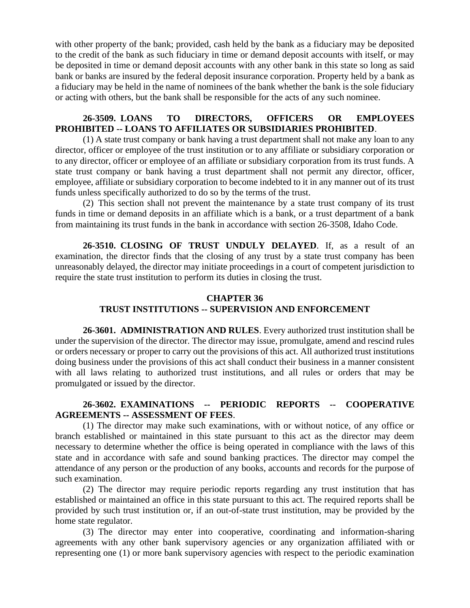with other property of the bank; provided, cash held by the bank as a fiduciary may be deposited to the credit of the bank as such fiduciary in time or demand deposit accounts with itself, or may be deposited in time or demand deposit accounts with any other bank in this state so long as said bank or banks are insured by the federal deposit insurance corporation. Property held by a bank as a fiduciary may be held in the name of nominees of the bank whether the bank is the sole fiduciary or acting with others, but the bank shall be responsible for the acts of any such nominee.

# **26-3509. LOANS TO DIRECTORS, OFFICERS OR EMPLOYEES PROHIBITED -- LOANS TO AFFILIATES OR SUBSIDIARIES PROHIBITED**.

(1) A state trust company or bank having a trust department shall not make any loan to any director, officer or employee of the trust institution or to any affiliate or subsidiary corporation or to any director, officer or employee of an affiliate or subsidiary corporation from its trust funds. A state trust company or bank having a trust department shall not permit any director, officer, employee, affiliate or subsidiary corporation to become indebted to it in any manner out of its trust funds unless specifically authorized to do so by the terms of the trust.

(2) This section shall not prevent the maintenance by a state trust company of its trust funds in time or demand deposits in an affiliate which is a bank, or a trust department of a bank from maintaining its trust funds in the bank in accordance with section 26-3508, Idaho Code.

**26-3510. CLOSING OF TRUST UNDULY DELAYED**. If, as a result of an examination, the director finds that the closing of any trust by a state trust company has been unreasonably delayed, the director may initiate proceedings in a court of competent jurisdiction to require the state trust institution to perform its duties in closing the trust.

# **CHAPTER 36 TRUST INSTITUTIONS -- SUPERVISION AND ENFORCEMENT**

**26-3601. ADMINISTRATION AND RULES**. Every authorized trust institution shall be under the supervision of the director. The director may issue, promulgate, amend and rescind rules or orders necessary or proper to carry out the provisions of this act. All authorized trust institutions doing business under the provisions of this act shall conduct their business in a manner consistent with all laws relating to authorized trust institutions, and all rules or orders that may be promulgated or issued by the director.

# **26-3602. EXAMINATIONS -- PERIODIC REPORTS -- COOPERATIVE AGREEMENTS -- ASSESSMENT OF FEES**.

(1) The director may make such examinations, with or without notice, of any office or branch established or maintained in this state pursuant to this act as the director may deem necessary to determine whether the office is being operated in compliance with the laws of this state and in accordance with safe and sound banking practices. The director may compel the attendance of any person or the production of any books, accounts and records for the purpose of such examination.

(2) The director may require periodic reports regarding any trust institution that has established or maintained an office in this state pursuant to this act. The required reports shall be provided by such trust institution or, if an out-of-state trust institution, may be provided by the home state regulator.

(3) The director may enter into cooperative, coordinating and information-sharing agreements with any other bank supervisory agencies or any organization affiliated with or representing one (1) or more bank supervisory agencies with respect to the periodic examination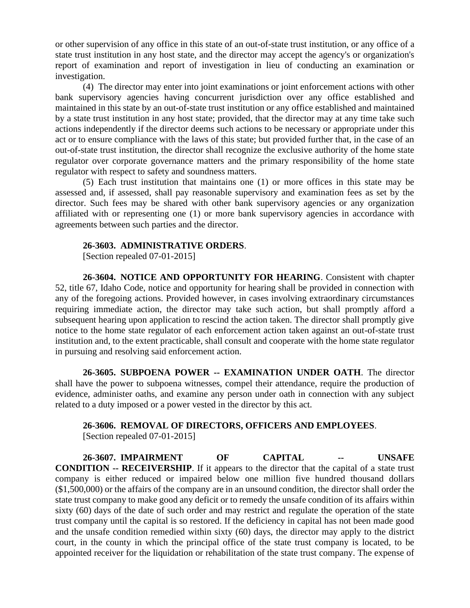or other supervision of any office in this state of an out-of-state trust institution, or any office of a state trust institution in any host state, and the director may accept the agency's or organization's report of examination and report of investigation in lieu of conducting an examination or investigation.

(4) The director may enter into joint examinations or joint enforcement actions with other bank supervisory agencies having concurrent jurisdiction over any office established and maintained in this state by an out-of-state trust institution or any office established and maintained by a state trust institution in any host state; provided, that the director may at any time take such actions independently if the director deems such actions to be necessary or appropriate under this act or to ensure compliance with the laws of this state; but provided further that, in the case of an out-of-state trust institution, the director shall recognize the exclusive authority of the home state regulator over corporate governance matters and the primary responsibility of the home state regulator with respect to safety and soundness matters.

(5) Each trust institution that maintains one (1) or more offices in this state may be assessed and, if assessed, shall pay reasonable supervisory and examination fees as set by the director. Such fees may be shared with other bank supervisory agencies or any organization affiliated with or representing one (1) or more bank supervisory agencies in accordance with agreements between such parties and the director.

#### **26-3603. ADMINISTRATIVE ORDERS**.

[Section repealed 07-01-2015]

**26-3604. NOTICE AND OPPORTUNITY FOR HEARING**. Consistent with chapter 52, title 67, Idaho Code, notice and opportunity for hearing shall be provided in connection with any of the foregoing actions. Provided however, in cases involving extraordinary circumstances requiring immediate action, the director may take such action, but shall promptly afford a subsequent hearing upon application to rescind the action taken. The director shall promptly give notice to the home state regulator of each enforcement action taken against an out-of-state trust institution and, to the extent practicable, shall consult and cooperate with the home state regulator in pursuing and resolving said enforcement action.

**26-3605. SUBPOENA POWER -- EXAMINATION UNDER OATH**. The director shall have the power to subpoena witnesses, compel their attendance, require the production of evidence, administer oaths, and examine any person under oath in connection with any subject related to a duty imposed or a power vested in the director by this act.

#### **26-3606. REMOVAL OF DIRECTORS, OFFICERS AND EMPLOYEES**.

[Section repealed 07-01-2015]

**26-3607. IMPAIRMENT OF CAPITAL -- UNSAFE CONDITION -- RECEIVERSHIP**. If it appears to the director that the capital of a state trust company is either reduced or impaired below one million five hundred thousand dollars (\$1,500,000) or the affairs of the company are in an unsound condition, the director shall order the state trust company to make good any deficit or to remedy the unsafe condition of its affairs within sixty (60) days of the date of such order and may restrict and regulate the operation of the state trust company until the capital is so restored. If the deficiency in capital has not been made good and the unsafe condition remedied within sixty (60) days, the director may apply to the district court, in the county in which the principal office of the state trust company is located, to be appointed receiver for the liquidation or rehabilitation of the state trust company. The expense of